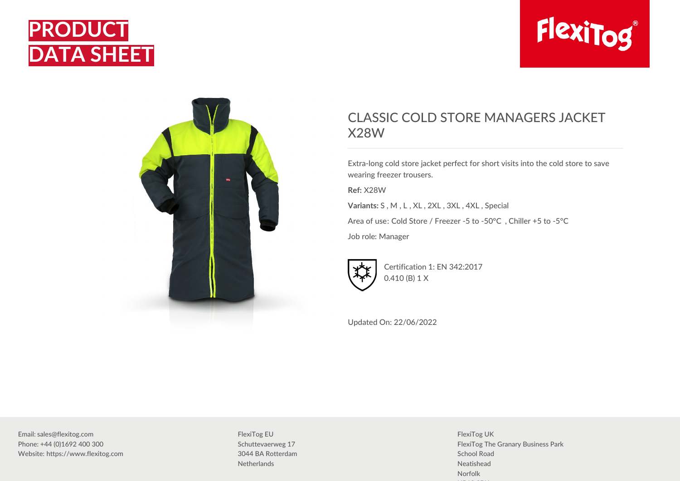





## CLASSIC COLD STORE MANAGERS JACKET X28W

Extra-long cold store jacket perfect for short visits into the cold store to save wearing freezer trousers.

**Ref:** X28W

**Variants:** S , M , L , XL , 2XL , 3XL , 4XL , Special

Area of use: Cold Store / Freezer -5 to -50°C , Chiller +5 to -5°C

Job role: Manager



Certification 1: EN 342:2017 0.410 (B) 1 X

Updated On: 22/06/2022

Email: sales@flexitog.com Phone: +44 (0)1692 400 300 Website: https://www.flexitog.com

FlexiTog EU Schuttevaerweg 17 3044 BA Rotterdam **Netherlands** 

FlexiTog UK FlexiTog The Granary Business Park School Road Neatishead Norfolk